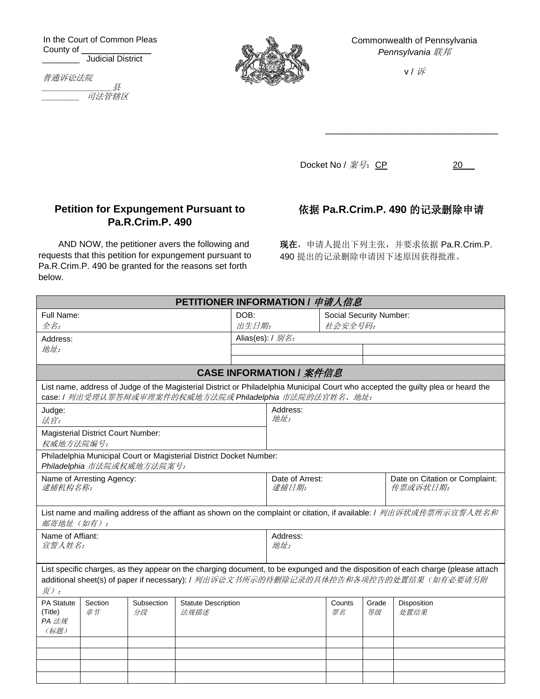In the Court of Common Pleas County of **Fig.** Judicial District

普通诉讼法院

*\_\_\_\_\_\_\_\_\_\_\_\_\_\_\_*县 **\_\_\_\_\_\_\_\_\_\_ 司法管辖区** 



Commonwealth of Pennsylvania *Pennsylvania* 联邦

v / 诉

\_\_\_\_\_\_\_\_\_\_\_\_\_\_\_\_\_\_\_\_\_\_\_\_\_\_\_\_\_\_\_\_

Docket No /  ${20}$  20

## **Petition for Expungement Pursuant to Pa.R.Crim.P. 490**

AND NOW, the petitioner avers the following and requests that this petition for expungement pursuant to Pa.R.Crim.P. 490 be granted for the reasons set forth below.

依据 **Pa.R.Crim.P. 490** 的记录删除申请

现在,申请人提出下列主张,并要求依据 Pa.R.Crim.P. 490 提出的记录删除申请因下述原因获得批准。

| <b>PETITIONER INFORMATION / 申请人信息</b>                                                             |                                           |                  |                                                         |       |                                                                        |                         |             |                                                                                                                                                                                                                         |  |  |
|---------------------------------------------------------------------------------------------------|-------------------------------------------|------------------|---------------------------------------------------------|-------|------------------------------------------------------------------------|-------------------------|-------------|-------------------------------------------------------------------------------------------------------------------------------------------------------------------------------------------------------------------------|--|--|
| Full Name:                                                                                        |                                           |                  |                                                         | DOB:  |                                                                        | Social Security Number: |             |                                                                                                                                                                                                                         |  |  |
| 全名:                                                                                               |                                           |                  |                                                         | 出生日期: |                                                                        |                         | 社会安全号码:     |                                                                                                                                                                                                                         |  |  |
| Address:                                                                                          |                                           |                  |                                                         |       | Alias(es): $/ \frac{1}{2}$ :                                           |                         |             |                                                                                                                                                                                                                         |  |  |
| 地址:                                                                                               |                                           |                  |                                                         |       |                                                                        |                         |             |                                                                                                                                                                                                                         |  |  |
|                                                                                                   |                                           |                  |                                                         |       |                                                                        |                         |             |                                                                                                                                                                                                                         |  |  |
| <b>CASE INFORMATION / 案件信息</b>                                                                    |                                           |                  |                                                         |       |                                                                        |                         |             |                                                                                                                                                                                                                         |  |  |
|                                                                                                   |                                           |                  | case: / 列出受理认罪答辩或审理案件的权威地方法院或 Philadelphia 市法院的法官姓名、地址: |       |                                                                        |                         |             | List name, address of Judge of the Magisterial District or Philadelphia Municipal Court who accepted the guilty plea or heard the                                                                                       |  |  |
| Judge:<br>法官:                                                                                     |                                           |                  |                                                         |       | Address:<br>地址:                                                        |                         |             |                                                                                                                                                                                                                         |  |  |
| 权威地方法院编号:                                                                                         | <b>Magisterial District Court Number:</b> |                  |                                                         |       |                                                                        |                         |             |                                                                                                                                                                                                                         |  |  |
| Philadelphia Municipal Court or Magisterial District Docket Number:<br>Philadelphia 市法院或权威地方法院案号: |                                           |                  |                                                         |       |                                                                        |                         |             |                                                                                                                                                                                                                         |  |  |
| Name of Arresting Agency:<br>逮捕机构名称:                                                              |                                           |                  |                                                         |       | Date of Arrest:<br>Date on Citation or Complaint:<br>逮捕日期:<br>传票或诉状日期: |                         |             |                                                                                                                                                                                                                         |  |  |
| 邮寄地址 (如有):                                                                                        |                                           |                  |                                                         |       |                                                                        |                         |             | List name and mailing address of the affiant as shown on the complaint or citation, if available: / 列出诉状或传票所示宣誓人姓名和                                                                                                     |  |  |
| Name of Affiant:<br>宣誓人姓名:                                                                        |                                           |                  |                                                         |       | Address:<br>地址:                                                        |                         |             |                                                                                                                                                                                                                         |  |  |
| $\bar{\mathcal{F}}$ ):                                                                            |                                           |                  |                                                         |       |                                                                        |                         |             | List specific charges, as they appear on the charging document, to be expunged and the disposition of each charge (please attach<br>additional sheet(s) of paper if necessary): / 列出诉讼文书所示的待删除记录的具体控告和各项控告的处置结果(如有必要请另附 |  |  |
| <b>PA Statute</b><br>(Title)<br>PA 法规<br>(标题)                                                     | Section<br>章节                             | Subsection<br>分段 | <b>Statute Description</b><br>法规描述                      |       |                                                                        | Counts<br>罪名            | Grade<br>等级 | Disposition<br>处置结果                                                                                                                                                                                                     |  |  |
|                                                                                                   |                                           |                  |                                                         |       |                                                                        |                         |             |                                                                                                                                                                                                                         |  |  |
|                                                                                                   |                                           |                  |                                                         |       |                                                                        |                         |             |                                                                                                                                                                                                                         |  |  |
|                                                                                                   |                                           |                  |                                                         |       |                                                                        |                         |             |                                                                                                                                                                                                                         |  |  |
|                                                                                                   |                                           |                  |                                                         |       |                                                                        |                         |             |                                                                                                                                                                                                                         |  |  |